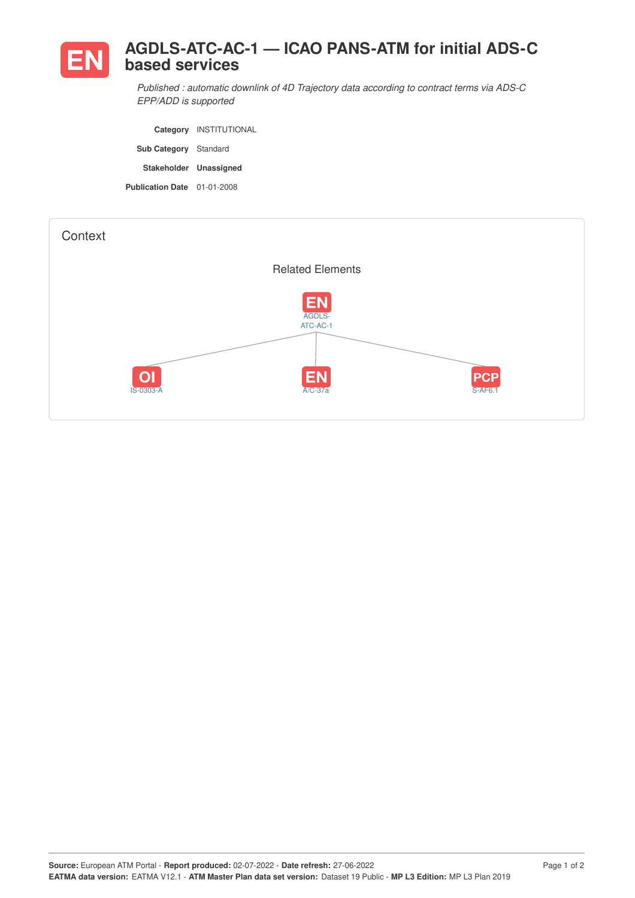

*Published : automatic downlink of 4D Trajectory data according to contract terms via ADS-C EPP/ADD is supported*

**Category** INSTITUTIONAL **Sub Category** Standard **Stakeholder Unassigned Publication Date** 01-01-2008

| Context |                 |                                                           |                       |
|---------|-----------------|-----------------------------------------------------------|-----------------------|
|         |                 | <b>Related Elements</b>                                   |                       |
|         | OI<br>IS-0303-A | <b>EN</b><br>AGDLS-<br>ATC-AC-1<br><b>EN</b><br>$A/C-37a$ | PCP<br><b>S-AF6.1</b> |